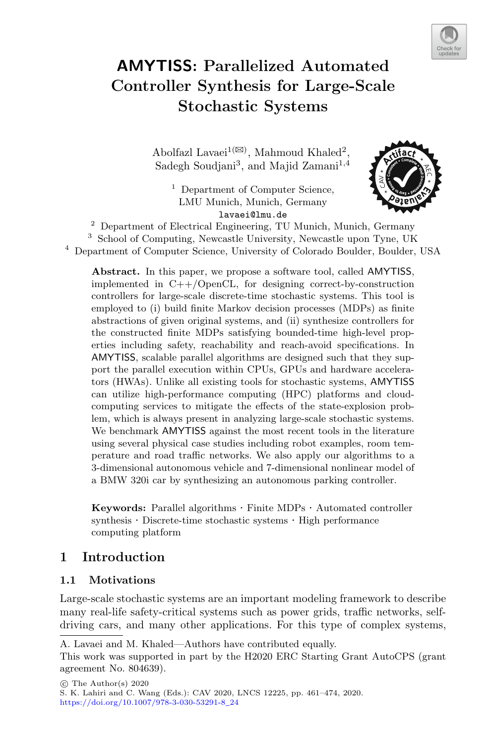

# **AMYTISS: Parallelized Automated Controller Synthesis for Large-Scale Stochastic Systems**

Abolfazl Lavaei<sup>1( $\boxtimes$ )</sup>, Mahmoud Khaled<sup>2</sup>, Sadegh Soudjani<sup>3</sup>, and Majid Zamani<sup>1,4</sup>

<sup>1</sup> Department of Computer Science, LMU Munich, Munich, Germany lavaei@lmu.de



<sup>2</sup> Department of Electrical Engineering, TU Munich, Munich, Germany <sup>3</sup> School of Computing, Newcastle University, Newcastle upon Tyne, UK

<sup>4</sup> Department of Computer Science, University of Colorado Boulder, Boulder, USA

**Abstract.** In this paper, we propose a software tool, called AMYTISS, implemented in  $C++/OpenCL$ , for designing correct-by-construction controllers for large-scale discrete-time stochastic systems. This tool is employed to (i) build finite Markov decision processes (MDPs) as finite abstractions of given original systems, and (ii) synthesize controllers for the constructed finite MDPs satisfying bounded-time high-level properties including safety, reachability and reach-avoid specifications. In AMYTISS, scalable parallel algorithms are designed such that they support the parallel execution within CPUs, GPUs and hardware accelerators (HWAs). Unlike all existing tools for stochastic systems, AMYTISS can utilize high-performance computing (HPC) platforms and cloudcomputing services to mitigate the effects of the state-explosion problem, which is always present in analyzing large-scale stochastic systems. We benchmark AMYTISS against the most recent tools in the literature using several physical case studies including robot examples, room temperature and road traffic networks. We also apply our algorithms to a 3-dimensional autonomous vehicle and 7-dimensional nonlinear model of a BMW 320i car by synthesizing an autonomous parking controller.

**Keywords:** Parallel algorithms · Finite MDPs · Automated controller synthesis  $\cdot$  Discrete-time stochastic systems  $\cdot$  High performance computing platform

# **1 Introduction**

#### **1.1 Motivations**

Large-scale stochastic systems are an important modeling framework to describe many real-life safety-critical systems such as power grids, traffic networks, selfdriving cars, and many other applications. For this type of complex systems,

A. Lavaei and M. Khaled—Authors have contributed equally.

This work was supported in part by the H2020 ERC Starting Grant AutoCPS (grant agreement No. 804639).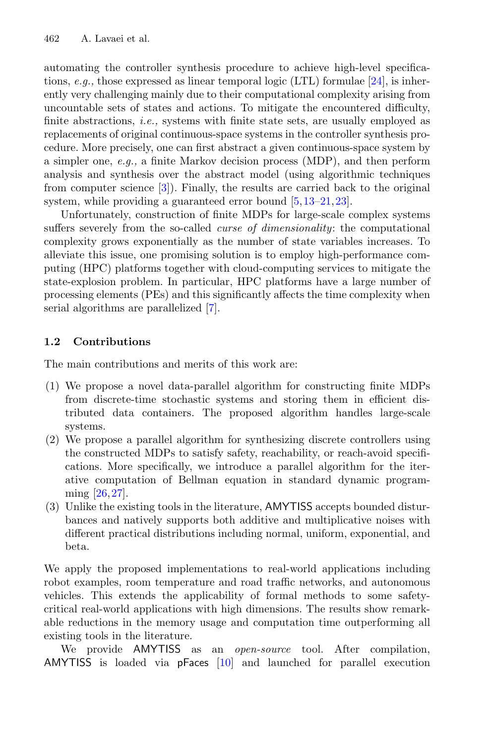automating the controller synthesis procedure to achieve high-level specifications, *e.g.,* those expressed as linear temporal logic (LTL) formulae [\[24](#page-12-0)], is inherently very challenging mainly due to their computational complexity arising from uncountable sets of states and actions. To mitigate the encountered difficulty, finite abstractions, *i.e.,* systems with finite state sets, are usually employed as replacements of original continuous-space systems in the controller synthesis procedure. More precisely, one can first abstract a given continuous-space system by a simpler one, *e.g.,* a finite Markov decision process (MDP), and then perform analysis and synthesis over the abstract model (using algorithmic techniques from computer science [\[3](#page-11-0)]). Finally, the results are carried back to the original system, while providing a guaranteed error bound  $[5,13-21,23]$  $[5,13-21,23]$  $[5,13-21,23]$  $[5,13-21,23]$  $[5,13-21,23]$ .

Unfortunately, construction of finite MDPs for large-scale complex systems suffers severely from the so-called *curse of dimensionality*: the computational complexity grows exponentially as the number of state variables increases. To alleviate this issue, one promising solution is to employ high-performance computing (HPC) platforms together with cloud-computing services to mitigate the state-explosion problem. In particular, HPC platforms have a large number of processing elements (PEs) and this significantly affects the time complexity when serial algorithms are parallelized [\[7\]](#page-11-2).

## **1.2 Contributions**

The main contributions and merits of this work are:

- (1) We propose a novel data-parallel algorithm for constructing finite MDPs from discrete-time stochastic systems and storing them in efficient distributed data containers. The proposed algorithm handles large-scale systems.
- (2) We propose a parallel algorithm for synthesizing discrete controllers using the constructed MDPs to satisfy safety, reachability, or reach-avoid specifications. More specifically, we introduce a parallel algorithm for the iterative computation of Bellman equation in standard dynamic programming [\[26,](#page-12-4)[27\]](#page-12-5).
- (3) Unlike the existing tools in the literature, AMYTISS accepts bounded disturbances and natively supports both additive and multiplicative noises with different practical distributions including normal, uniform, exponential, and beta.

We apply the proposed implementations to real-world applications including robot examples, room temperature and road traffic networks, and autonomous vehicles. This extends the applicability of formal methods to some safetycritical real-world applications with high dimensions. The results show remarkable reductions in the memory usage and computation time outperforming all existing tools in the literature.

We provide AMYTISS as an *open-source* tool. After compilation, AMYTISS is loaded via pFaces [\[10\]](#page-11-3) and launched for parallel execution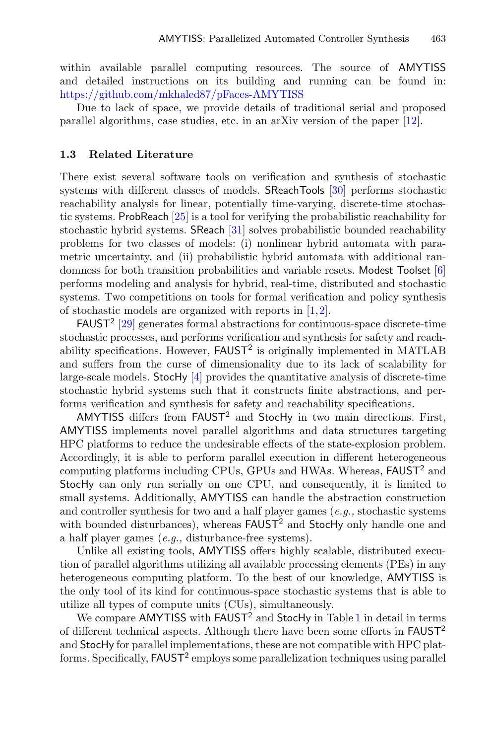within available parallel computing resources. The source of AMYTISS and detailed instructions on its building and running can be found in: <https://github.com/mkhaled87/pFaces-AMYTISS>

Due to lack of space, we provide details of traditional serial and proposed parallel algorithms, case studies, etc. in an arXiv version of the paper [\[12](#page-12-6)].

#### **1.3 Related Literature**

There exist several software tools on verification and synthesis of stochastic systems with different classes of models. SReachTools [\[30](#page-13-0)] performs stochastic reachability analysis for linear, potentially time-varying, discrete-time stochastic systems. ProbReach [\[25](#page-12-7)] is a tool for verifying the probabilistic reachability for stochastic hybrid systems. SReach [\[31](#page-13-1)] solves probabilistic bounded reachability problems for two classes of models: (i) nonlinear hybrid automata with parametric uncertainty, and (ii) probabilistic hybrid automata with additional randomness for both transition probabilities and variable resets. Modest Toolset [\[6\]](#page-11-4) performs modeling and analysis for hybrid, real-time, distributed and stochastic systems. Two competitions on tools for formal verification and policy synthesis of stochastic models are organized with reports in [\[1](#page-11-5),[2\]](#page-11-6).

 $FAUST<sup>2</sup>$  [\[29](#page-13-2)] generates formal abstractions for continuous-space discrete-time stochastic processes, and performs verification and synthesis for safety and reachability specifications. However,  $FAUST^2$  is originally implemented in MATLAB and suffers from the curse of dimensionality due to its lack of scalability for large-scale models. StocHy [\[4\]](#page-11-7) provides the quantitative analysis of discrete-time stochastic hybrid systems such that it constructs finite abstractions, and performs verification and synthesis for safety and reachability specifications.

AMYTISS differs from FAUST<sup>2</sup> and StocHy in two main directions. First, AMYTISS implements novel parallel algorithms and data structures targeting HPC platforms to reduce the undesirable effects of the state-explosion problem. Accordingly, it is able to perform parallel execution in different heterogeneous computing platforms including CPUs, GPUs and HWAs. Whereas, FAUST<sup>2</sup> and StocHy can only run serially on one CPU, and consequently, it is limited to small systems. Additionally, AMYTISS can handle the abstraction construction and controller synthesis for two and a half player games (*e.g.,* stochastic systems with bounded disturbances), whereas **FAUST<sup>2</sup>** and **StocHy** only handle one and a half player games (*e.g.,* disturbance-free systems).

Unlike all existing tools, AMYTISS offers highly scalable, distributed execution of parallel algorithms utilizing all available processing elements (PEs) in any heterogeneous computing platform. To the best of our knowledge, AMYTISS is the only tool of its kind for continuous-space stochastic systems that is able to utilize all types of compute units (CUs), simultaneously.

We compare AMYTISS with FAUST<sup>2</sup> and StocHy in Table [1](#page-3-0) in detail in terms of different technical aspects. Although there have been some efforts in FAUST<sup>2</sup> and StocHy for parallel implementations, these are not compatible with HPC platforms. Specifically, FAUST<sup>2</sup> employs some parallelization techniques using parallel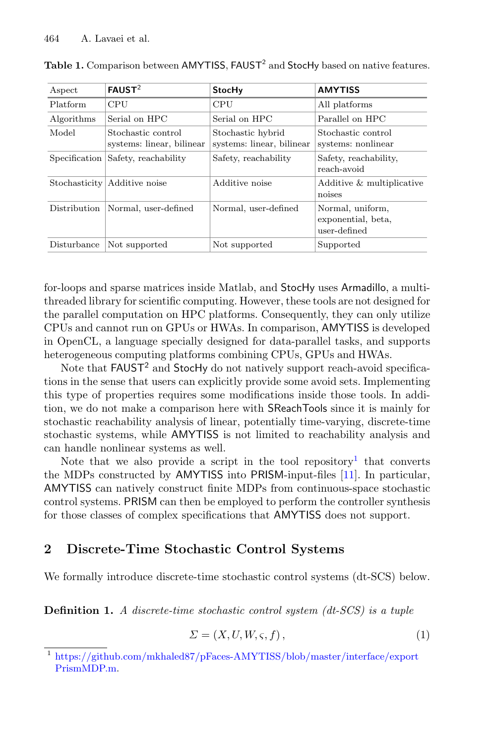| Aspect        | FAUST <sup>2</sup>                              | <b>StocHy</b>                                  | <b>AMYTISS</b>                                         |
|---------------|-------------------------------------------------|------------------------------------------------|--------------------------------------------------------|
| Platform      | CPU                                             | <b>CPU</b>                                     | All platforms                                          |
| Algorithms    | Serial on HPC                                   | Serial on HPC                                  | Parallel on HPC                                        |
| Model         | Stochastic control<br>systems: linear, bilinear | Stochastic hybrid<br>systems: linear, bilinear | Stochastic control<br>systems: nonlinear               |
| Specification | Safety, reachability                            | Safety, reachability                           | Safety, reachability,<br>reach-avoid                   |
|               | Stochasticity Additive noise                    | Additive noise                                 | Additive & multiplicative<br>noises                    |
| Distribution  | Normal, user-defined                            | Normal, user-defined                           | Normal, uniform,<br>exponential, beta,<br>user-defined |
| Disturbance   | Not supported                                   | Not supported                                  | Supported                                              |

<span id="page-3-0"></span>

| Table 1. Comparison between AMYTISS, FAUST <sup>2</sup> and StocHy based on native features. |  |  |
|----------------------------------------------------------------------------------------------|--|--|
|----------------------------------------------------------------------------------------------|--|--|

for-loops and sparse matrices inside Matlab, and StocHy uses Armadillo, a multithreaded library for scientific computing. However, these tools are not designed for the parallel computation on HPC platforms. Consequently, they can only utilize CPUs and cannot run on GPUs or HWAs. In comparison, AMYTISS is developed in OpenCL, a language specially designed for data-parallel tasks, and supports heterogeneous computing platforms combining CPUs, GPUs and HWAs.

Note that  $FAUST^2$  and  $Stochy$  do not natively support reach-avoid specifications in the sense that users can explicitly provide some avoid sets. Implementing this type of properties requires some modifications inside those tools. In addition, we do not make a comparison here with SReachTools since it is mainly for stochastic reachability analysis of linear, potentially time-varying, discrete-time stochastic systems, while AMYTISS is not limited to reachability analysis and can handle nonlinear systems as well.

Note that we also provide a script in the tool repository<sup>[1](#page-3-1)</sup> that converts the MDPs constructed by AMYTISS into PRISM-input-files [\[11](#page-12-8)]. In particular, AMYTISS can natively construct finite MDPs from continuous-space stochastic control systems. PRISM can then be employed to perform the controller synthesis for those classes of complex specifications that AMYTISS does not support.

## **2 Discrete-Time Stochastic Control Systems**

We formally introduce discrete-time stochastic control systems (dt-SCS) below.

**Definition 1.** *A discrete-time stochastic control system (dt-SCS) is a tuple*

<span id="page-3-2"></span>
$$
\Sigma = (X, U, W, \varsigma, f),\tag{1}
$$

<span id="page-3-1"></span><sup>1</sup> [https://github.com/mkhaled87/pFaces-AMYTISS/blob/master/interface/export](https://github.com/mkhaled87/pFaces-AMYTISS/blob/master/interface/exportPrismMDP.m) [PrismMDP.m.](https://github.com/mkhaled87/pFaces-AMYTISS/blob/master/interface/exportPrismMDP.m)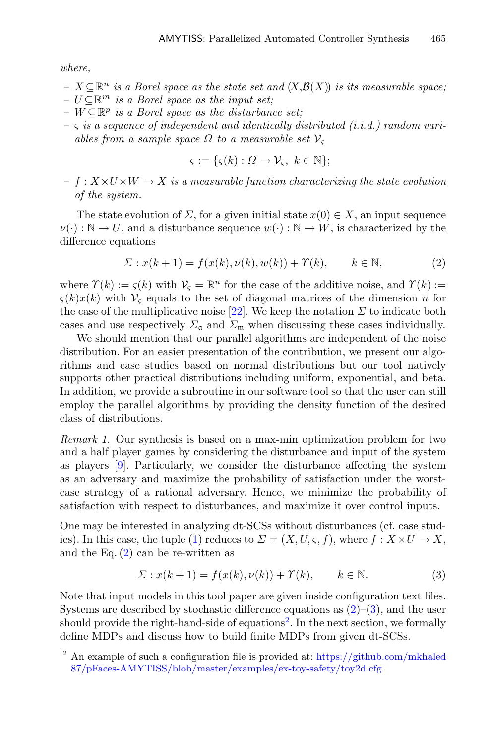*where,*

- $− X ⊂ ℝ<sup>n</sup>$  *is a Borel space as the state set and*  $(X, \mathcal{B}(X))$  *is its measurable space*;
- $− U ⊂ ℝ<sup>m</sup>$  *is a Borel space as the input set*;
- $-V \subseteq \mathbb{R}^p$  *is a Borel space as the disturbance set*;
- *–* ς *is a sequence of independent and identically distributed (i.i.d.) random variables from a sample space*  $\Omega$  *to a measurable set*  $V_c$

$$
\varsigma := \{ \varsigma(k) : \Omega \to \mathcal{V}_{\varsigma}, \ k \in \mathbb{N} \};
$$

 $- f : X \times U \times W \rightarrow X$  *is a measurable function characterizing the state evolution of the system.*

The state evolution of  $\Sigma$ , for a given initial state  $x(0) \in X$ , an input sequence  $\nu(\cdot): \mathbb{N} \to U$ , and a disturbance sequence  $w(\cdot): \mathbb{N} \to W$ , is characterized by the difference equations

<span id="page-4-0"></span>
$$
\Sigma: x(k+1) = f(x(k), \nu(k), w(k)) + \Upsilon(k), \qquad k \in \mathbb{N}, \tag{2}
$$

where  $\Upsilon(k) := \varsigma(k)$  with  $V_{\varsigma} = \mathbb{R}^n$  for the case of the additive noise, and  $\Upsilon(k) :=$  $\zeta(k)x(k)$  with  $V_{\zeta}$  equals to the set of diagonal matrices of the dimension n for the case of the multiplicative noise [\[22](#page-12-9)]. We keep the notation  $\Sigma$  to indicate both cases and use respectively  $\Sigma_a$  and  $\Sigma_m$  when discussing these cases individually.

We should mention that our parallel algorithms are independent of the noise distribution. For an easier presentation of the contribution, we present our algorithms and case studies based on normal distributions but our tool natively supports other practical distributions including uniform, exponential, and beta. In addition, we provide a subroutine in our software tool so that the user can still employ the parallel algorithms by providing the density function of the desired class of distributions.

*Remark 1.* Our synthesis is based on a max-min optimization problem for two and a half player games by considering the disturbance and input of the system as players [\[9](#page-11-8)]. Particularly, we consider the disturbance affecting the system as an adversary and maximize the probability of satisfaction under the worstcase strategy of a rational adversary. Hence, we minimize the probability of satisfaction with respect to disturbances, and maximize it over control inputs.

One may be interested in analyzing dt-SCSs without disturbances (cf. case stud-ies). In this case, the tuple [\(1\)](#page-3-2) reduces to  $\Sigma = (X, U, \varsigma, f)$ , where  $f : X \times U \to X$ , and the Eq.  $(2)$  can be re-written as

<span id="page-4-1"></span>
$$
\Sigma: x(k+1) = f(x(k), \nu(k)) + \Upsilon(k), \qquad k \in \mathbb{N}.
$$
 (3)

Note that input models in this tool paper are given inside configuration text files. Systems are described by stochastic difference equations as  $(2)-(3)$  $(2)-(3)$  $(2)-(3)$ , and the user should provide the right-hand-side of equations<sup>[2](#page-4-2)</sup>. In the next section, we formally define MDPs and discuss how to build finite MDPs from given dt-SCSs.

<span id="page-4-2"></span><sup>2</sup> An example of such a configuration file is provided at: [https://github.com/mkhaled](https://github.com/mkhaled87/pFaces-AMYTISS/blob/master/examples/ex_toy_safety/toy2d.cfg) [87/pFaces-AMYTISS/blob/master/examples/ex-toy-safety/toy2d.cfg.](https://github.com/mkhaled87/pFaces-AMYTISS/blob/master/examples/ex_toy_safety/toy2d.cfg)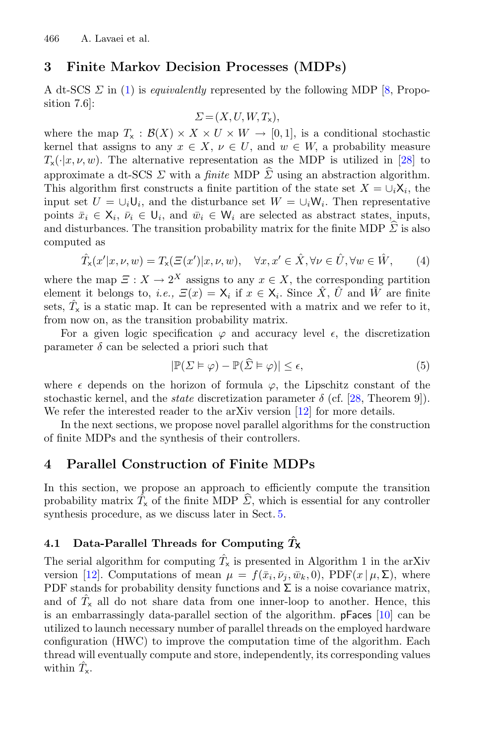## **3 Finite Markov Decision Processes (MDPs)**

A dt-SCS Σ in [\(1\)](#page-3-2) is *equivalently* represented by the following MDP [\[8](#page-11-9), Proposition 7.6]:

$$
\Sigma = (X, U, W, T_{\mathsf{x}}),
$$

where the map  $T_x : \mathcal{B}(X) \times X \times U \times W \rightarrow [0,1]$ , is a conditional stochastic kernel that assigns to any  $x \in X$ ,  $\nu \in U$ , and  $w \in W$ , a probability measure  $T_{\mathsf{x}}(\cdot|x,\nu,w)$ . The alternative representation as the MDP is utilized in [\[28](#page-13-3)] to where the map  $T_x : B(X) \times X \times U \times W \rightarrow$ <br>kernel that assigns to any  $x \in X$ ,  $\nu \in U$ , and<br> $T_x(\cdot|x, \nu, w)$ . The alternative representation as<br>approximate a dt-SCS  $\Sigma$  with a *finite* MDP  $\hat{\Sigma}$ approximate a dt-SCS  $\Sigma$  with a *finite* MDP  $\hat{\Sigma}$  using an abstraction algorithm. This algorithm first constructs a finite partition of the state set  $X = \bigcup_i X_i$ , the input set  $U = \bigcup_i \bigcup_i$ , and the disturbance set  $W = \bigcup_i \mathcal{W}_i$ . Then representative points  $\bar{x}_i \in \mathsf{X}_i$ ,  $\bar{\nu}_i \in \mathsf{U}_i$ , and  $\bar{w}_i \in \mathsf{W}_i$  are selected as abstract states, inputs, This algorithm first constructs a finite partition of the state set  $X = \bigcup_i X_i$ , the input set  $U = \bigcup_i U_i$ , and the disturbance set  $W = \bigcup_i W_i$ . Then representative points  $\bar{x}_i \in X_i$ ,  $\bar{\nu}_i \in U_i$ , and  $\bar{w}_i \in W_i$  are sele computed as

$$
\hat{T}_x(x'|x,\nu,w) = T_x(\Xi(x')|x,\nu,w), \quad \forall x, x' \in \hat{X}, \forall \nu \in \hat{U}, \forall w \in \hat{W}, \qquad (4)
$$

where the map  $\Xi : X \to 2^X$  assigns to any  $x \in X$ , the corresponding partition element it belongs to, *i.e.*,  $\Xi(x) = \mathsf{X}_i$  if  $x \in \mathsf{X}_i$ . Since  $\hat{X}$ ,  $\hat{U}$  and  $\hat{W}$  are finite sets,  $\hat{T}_x$  is a static map. It can be represented with a matrix and we refer to it, from now on, as the transition probability matrix.

For a given logic specification  $\varphi$  and accuracy level  $\epsilon$ , the discretization<br>ameter  $\delta$  can be selected a priori such that<br> $|\mathbb{P}(\Sigma \models \varphi) - \mathbb{P}(\widehat{\Sigma} \models \varphi)| \leq \epsilon,$  (5) parameter  $\delta$  can be selected a priori such that

$$
|\mathbb{P}(\Sigma \models \varphi) - \mathbb{P}(\widehat{\Sigma} \models \varphi)| \le \epsilon,\tag{5}
$$

where  $\epsilon$  depends on the horizon of formula  $\varphi$ , the Lipschitz constant of the stochastic kernel, and the *state* discretization parameter  $\delta$  (cf. [\[28](#page-13-3), Theorem 9]). We refer the interested reader to the arXiv version  $[12]$  for more details.

In the next sections, we propose novel parallel algorithms for the construction of finite MDPs and the synthesis of their controllers.

## **4 Parallel Construction of Finite MDPs**

In this section, we propose an approach to efficiently compute the transition **4** Parallel Construction of Finite MDPs<br>In this section, we propose an approach to efficiently compute the transition<br>probability matrix  $\hat{T}_x$  of the finite MDP  $\hat{\Sigma}$ , which is essential for any controller synthesis procedure, as we discuss later in Sect. [5.](#page-6-0)

#### <span id="page-5-0"></span>**4.1 Data-Parallel Threads for Computing** *T***ˆ<sup>X</sup>**

The serial algorithm for computing  $\hat{T}_x$  is presented in Algorithm 1 in the arXiv version [\[12\]](#page-12-6). Computations of mean  $\mu = f(\bar{x}_i, \bar{\nu}_j, \bar{w}_k, 0)$ , PDF( $x | \mu, \Sigma$ ), where PDF stands for probability density functions and  $\Sigma$  is a noise covariance matrix, and of  $\hat{T}_x$  all do not share data from one inner-loop to another. Hence, this is an embarrassingly data-parallel section of the algorithm. pFaces [\[10](#page-11-3)] can be utilized to launch necessary number of parallel threads on the employed hardware configuration (HWC) to improve the computation time of the algorithm. Each thread will eventually compute and store, independently, its corresponding values within  $\hat{T}_{\mathsf{x}}$ .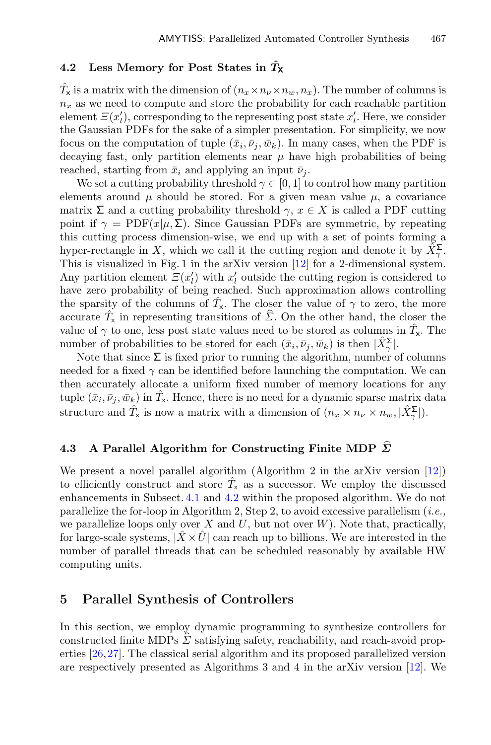#### <span id="page-6-1"></span>**4.2 Less Memory for Post States in** *T***ˆ<sup>X</sup>**

 $\hat{T}_x$  is a matrix with the dimension of  $(n_x \times n_v \times n_w, n_x)$ . The number of columns is  $n_x$  as we need to compute and store the probability for each reachable partition element  $\mathcal{Z}(x_l')$ , corresponding to the representing post state  $x_l'$ . Here, we consider the Gaussian PDFs for the sake of a simpler presentation. For simplicity, we now focus on the computation of tuple  $(\bar{x}_i, \bar{\nu}_i, \bar{w}_k)$ . In many cases, when the PDF is decaying fast, only partition elements near  $\mu$  have high probabilities of being reached, starting from  $\bar{x}_i$  and applying an input  $\bar{\nu}_i$ .

We set a cutting probability threshold  $\gamma \in [0,1]$  to control how many partition elements around  $\mu$  should be stored. For a given mean value  $\mu$ , a covariance matrix  $\Sigma$  and a cutting probability threshold  $\gamma, x \in X$  is called a PDF cutting point if  $\gamma = \text{PDF}(x|\mu, \Sigma)$ . Since Gaussian PDFs are symmetric, by repeating this cutting process dimension-wise, we end up with a set of points forming a hyper-rectangle in X, which we call it the cutting region and denote it by  $\hat{X}_{\gamma}^{\Sigma}$ . This is visualized in Fig. 1 in the arXiv version [\[12\]](#page-12-6) for a 2-dimensional system. Any partition element  $E(x'_l)$  with  $x'_l$  outside the cutting region is considered to have zero probability of being reached. Such approximation allows controlling the sparsity of the columns of  $\hat{T}_{x}$ . The closer the value of  $\gamma$  to zero, the more Any partition element  $\Xi(x'_l)$  with  $x'_l$  outside the cutting region is considered to have zero probability of being reached. Such approximation allows controlling the sparsity of the columns of  $\hat{T}_x$ . The closer the va value of  $\gamma$  to one, less post state values need to be stored as columns in  $\hat{T}_{\mathsf{x}}$ . The number of probabilities to be stored for each  $(\bar{x}_i, \bar{\nu}_j, \bar{w}_k)$  is then  $|\hat{X}_{\gamma}^{\Sigma}|$ .

Note that since  $\Sigma$  is fixed prior to running the algorithm, number of columns needed for a fixed  $\gamma$  can be identified before launching the computation. We can then accurately allocate a uniform fixed number of memory locations for any tuple  $(\bar{x}_i, \bar{\nu}_j, \bar{w}_k)$  in  $\hat{T}_x$ . Hence, there is no need for a dynamic sparse matrix data structure and  $\hat{T}_x$  is now a matrix with a dimension of  $(n_x \times n_\nu \times n_w, |\hat{X}_\gamma^{\Sigma}|)$ .<br> **4.3** A Parallel Algorithm for Constructing Finite MDP  $\hat{\Sigma}$ 

## A Parallel Algorithm for Constructing Finite MDP  $\widehat{\Sigma}$

We present a novel parallel algorithm (Algorithm 2 in the arXiv version [\[12\]](#page-12-6)) to efficiently construct and store  $\hat{T}_x$  as a successor. We employ the discussed enhancements in Subsect. [4.1](#page-5-0) and [4.2](#page-6-1) within the proposed algorithm. We do not parallelize the for-loop in Algorithm 2, Step 2, to avoid excessive parallelism (*i.e.,* we parallelize loops only over X and U, but not over  $W$ ). Note that, practically, for large-scale systems,  $|X \times U|$  can reach up to billions. We are interested in the number of parallel threads that can be scheduled reasonably by available HW computing units.

#### <span id="page-6-0"></span>**5 Parallel Synthesis of Controllers**

In this section, we employ dynamic programming to synthesize controllers for **5** Parallel Synthesis of Controllers<br>
In this section, we employ dynamic programming to synthesize controllers for<br>
constructed finite MDPs  $\hat{\Sigma}$  satisfying safety, reachability, and reach-avoid properties [\[26](#page-12-4)[,27](#page-12-5)]. The classical serial algorithm and its proposed parallelized version are respectively presented as Algorithms 3 and 4 in the arXiv version [\[12](#page-12-6)]. We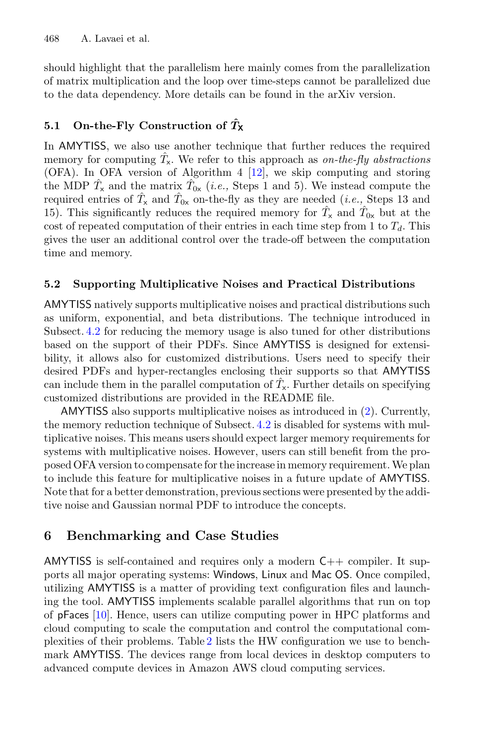should highlight that the parallelism here mainly comes from the parallelization of matrix multiplication and the loop over time-steps cannot be parallelized due to the data dependency. More details can be found in the arXiv version.

## **5.1** On-the-Fly Construction of  $\hat{T}_X$

In AMYTISS, we also use another technique that further reduces the required memory for computing  $\hat{T}_{\mathsf{x}}$ . We refer to this approach as *on-the-fly abstractions* (OFA). In OFA version of Algorithm 4 [\[12\]](#page-12-6), we skip computing and storing the MDP  $\hat{T}_x$  and the matrix  $\hat{T}_{0x}$  (*i.e.*, Steps 1 and 5). We instead compute the required entries of  $\hat{T}_x$  and  $\hat{T}_{0x}$  on-the-fly as they are needed (*i.e.*, Steps 13 and 15). This significantly reduces the required memory for  $\hat{T}_x$  and  $\hat{T}_{0x}$  but at the cost of repeated computation of their entries in each time step from 1 to  $T<sub>d</sub>$ . This gives the user an additional control over the trade-off between the computation time and memory.

### **5.2 Supporting Multiplicative Noises and Practical Distributions**

AMYTISS natively supports multiplicative noises and practical distributions such as uniform, exponential, and beta distributions. The technique introduced in Subsect. [4.2](#page-6-1) for reducing the memory usage is also tuned for other distributions based on the support of their PDFs. Since AMYTISS is designed for extensibility, it allows also for customized distributions. Users need to specify their desired PDFs and hyper-rectangles enclosing their supports so that AMYTISS can include them in the parallel computation of  $\hat{T}_x$ . Further details on specifying customized distributions are provided in the README file.

AMYTISS also supports multiplicative noises as introduced in [\(2\)](#page-4-0). Currently, the memory reduction technique of Subsect. [4.2](#page-6-1) is disabled for systems with multiplicative noises. This means users should expect larger memory requirements for systems with multiplicative noises. However, users can still benefit from the proposed OFA version to compensate for the increase in memory requirement.We plan to include this feature for multiplicative noises in a future update of AMYTISS. Note that for a better demonstration, previous sections were presented by the additive noise and Gaussian normal PDF to introduce the concepts.

# **6 Benchmarking and Case Studies**

AMYTISS is self-contained and requires only a modern C++ compiler. It supports all major operating systems: Windows, Linux and Mac OS. Once compiled, utilizing AMYTISS is a matter of providing text configuration files and launching the tool. AMYTISS implements scalable parallel algorithms that run on top of pFaces [\[10\]](#page-11-3). Hence, users can utilize computing power in HPC platforms and cloud computing to scale the computation and control the computational complexities of their problems. Table [2](#page-8-0) lists the HW configuration we use to benchmark AMYTISS. The devices range from local devices in desktop computers to advanced compute devices in Amazon AWS cloud computing services.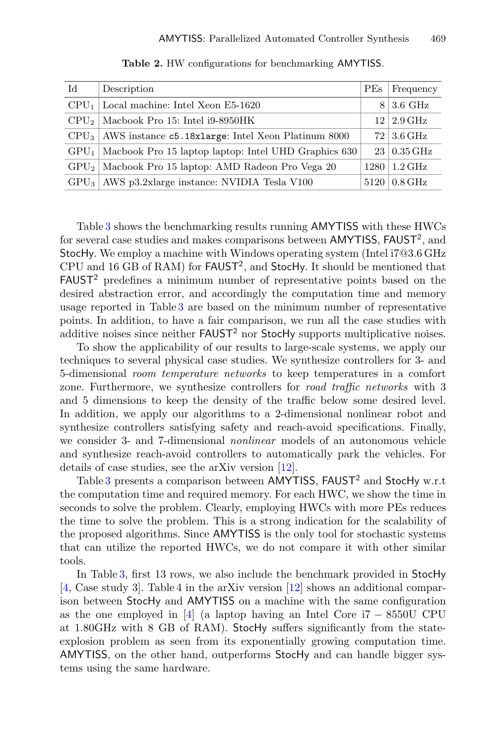<span id="page-8-0"></span>

| Id | Description                                                    | <b>PEs</b> | Frequency                   |
|----|----------------------------------------------------------------|------------|-----------------------------|
|    | $CPU_1$ Local machine: Intel Xeon E5-1620                      | 8.         | $3.6\text{ GHz}$            |
|    | $CPU_2$   Macbook Pro 15: Intel i9-8950HK                      |            | $12 \mid 2.9 \text{ GHz}$   |
|    | $CPU3$   AWS instance $c5.18x$ large: Intel Xeon Platinum 8000 |            | $72\, \,3.6\,\mathrm{GHz}$  |
|    | $GPU_1$ Macbook Pro 15 laptop laptop: Intel UHD Graphics 630   |            | $23 \mid 0.35 \text{ GHz}$  |
|    | $GPU2$ Macbook Pro 15 laptop: AMD Radeon Pro Vega 20           |            | $1280 \mid 1.2 \text{ GHz}$ |
|    | $GPU3$   AWS p3.2xlarge instance: NVIDIA Tesla V100            |            | $5120 \mid 0.8 \text{ GHz}$ |

**Table 2.** HW configurations for benchmarking AMYTISS.

Table [3](#page-9-0) shows the benchmarking results running AMYTISS with these HWCs for several case studies and makes comparisons between AMYTISS, FAUST<sup>2</sup>, and StocHy. We employ a machine with Windows operating system (Intel i7@3.6 GHz CPU and 16 GB of RAM) for FAUST<sup>2</sup>, and StocHy. It should be mentioned that  $FAUST<sup>2</sup>$  predefines a minimum number of representative points based on the desired abstraction error, and accordingly the computation time and memory usage reported in Table [3](#page-9-0) are based on the minimum number of representative points. In addition, to have a fair comparison, we run all the case studies with additive noises since neither  $FAUST<sup>2</sup>$  nor StocHy supports multiplicative noises.

To show the applicability of our results to large-scale systems, we apply our techniques to several physical case studies. We synthesize controllers for 3- and 5-dimensional *room temperature networks* to keep temperatures in a comfort zone. Furthermore, we synthesize controllers for *road traffic networks* with 3 and 5 dimensions to keep the density of the traffic below some desired level. In addition, we apply our algorithms to a 2-dimensional nonlinear robot and synthesize controllers satisfying safety and reach-avoid specifications. Finally, we consider 3- and 7-dimensional *nonlinear* models of an autonomous vehicle and synthesize reach-avoid controllers to automatically park the vehicles. For details of case studies, see the arXiv version [\[12](#page-12-6)].

Table [3](#page-9-0) presents a comparison between AMYTISS, FAUST<sup>2</sup> and StocHy w.r.t the computation time and required memory. For each HWC, we show the time in seconds to solve the problem. Clearly, employing HWCs with more PEs reduces the time to solve the problem. This is a strong indication for the scalability of the proposed algorithms. Since AMYTISS is the only tool for stochastic systems that can utilize the reported HWCs, we do not compare it with other similar tools.

In Table [3,](#page-9-0) first 13 rows, we also include the benchmark provided in StocHy [\[4](#page-11-7), Case study 3]. Table 4 in the arXiv version [\[12\]](#page-12-6) shows an additional comparison between StocHy and AMYTISS on a machine with the same configuration as the one employed in [\[4\]](#page-11-7) (a laptop having an Intel Core i7 − 8550U CPU at 1.80GHz with 8 GB of RAM). StocHy suffers significantly from the stateexplosion problem as seen from its exponentially growing computation time. AMYTISS, on the other hand, outperforms StocHy and can handle bigger systems using the same hardware.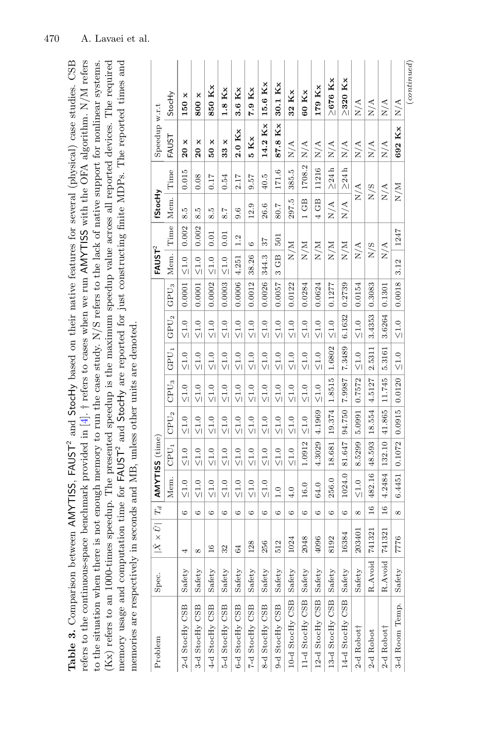<span id="page-9-0"></span>

| AMYTISS (time)<br>0.1072<br>$CPU_1$<br>132.10<br>4.3029<br>48.593<br>1.0912<br>8.5299<br>18.681<br>81.647<br>$\leq 1.0$<br>$\leq 1.0$<br>$\leq 1.0$<br>$\leq 1.0$<br>$\leq 1.0$<br>$\leq 1.0$<br>$\leq 1.0$<br>$\leq 1.0$<br>$\leq 1.0$<br>Mem.<br>6.4451<br>4.2484<br>482.16<br>1024.0<br>256.0<br>$\leq 1.0$<br>$\leq 1.0$<br>$\leq 1.0$<br>$\leq 1.0$<br>$\leq 1.0$<br>$\leq 1.0$<br>$\leq 1.0$<br>$\leq 1.0$<br>16.0<br>64.0<br>1.0<br>4.0<br>$ \hat{X} \times \hat{U}  \,  \, T_d \,  $<br>$\frac{6}{1}$<br>$\frac{6}{1}$<br>G<br>G<br>${}^{\circ}$<br>${}^{\circ}$<br>G<br>G<br>$\circ$<br>G<br>G<br>$\circ$<br>G<br>G<br>G<br>$\circ$<br>G<br>741321<br>741321<br>203401<br>16384<br>2048<br>4096<br>7776<br>1024<br>8192<br>128<br>256<br>512<br>64<br>16<br>32<br>4<br>${}^{\circ}$<br>R.Avoid<br>R.Avoid<br>Safety<br>Safety<br>Safety<br>Safety<br>Safety<br>Safety<br>Safety<br>Safety<br>Safety<br>Safety<br>Safety<br>Safety<br>Safety<br>Safety<br>Safety<br>Spec.<br>10-d StocHy CSB<br>13-d StocHy CSB<br>12-d StocHy CSB<br>11-d StocHy CSB<br>14-d StocHy CSB<br>3-d Room Temp.<br>3-d StocHy CSB<br>5-d StocHy CSB<br>6-d StocHy CSB<br>7-d StocHy CSB<br>8-d StocHy CSB<br>9-d StocHy CSB<br>2-d StocHy CSB<br>4-d StocHy CSB<br>2-d Robott<br>2-d Robot <sub>†</sub><br>$2$ -d Robot | 0.0120<br>1.8515<br>11.745<br>0.7572<br>7800.7<br>4.5127<br>$\mathrm{CPU}_3$<br>$\frac{0}{2}$<br>$\leq 1.0$<br>$\leq 1.0$<br>$\leq 1.0$<br>$\leq 1.0$<br>$\leq 1.0$<br>$\leq 1.0$<br>$\leq 1.0$<br>$\leq\!1.0$<br>$\leq 1.0$<br>$\leq 1.0$<br>0.0915<br>41.865<br>18.554<br>4.1969<br>5.0991<br>19.374<br>94.750<br>$\mathrm{CPU}_2$<br>$\leq 1.0$<br>$\leq 1.0$<br>$\leq 1.0$<br>$\leq 1.0$<br>$\leq 1.0$<br>$\leq 1.0$<br>$\leq 1.0$<br>$\leq 1.0$<br>$\leq 1.0$<br>$\leq 1.0$ | $\operatorname{GPU}_1$<br>2.5311<br>5.3161<br>1.6802<br>7.3489<br>$\leq 1.0$<br>$\frac{1.0}{1.0}$<br>$\leq 1.0$<br>$\leq 1.0$<br>$\leq 1.0$<br>$\leq 1.0$<br>$\leq 1.0$<br>$\leq 1.0$<br>$\leq 1.0$<br>$\leq 1.0$<br>$\leq 1.0$<br>$\leq 1.0$<br>$\leq 1.0$ | 0.0006<br>0.0003<br>0.0018<br>$\mathrm{GPU}_3$<br>0.0001<br>0.0012<br>0.0026<br>0.0057<br>0.0001<br>0.0002<br>0.0154<br>0.3083<br>0.0122<br>0.0284<br>0.0624<br>0.2739<br>0.1301<br>0.1277<br>3.6264<br>3.4353<br>6.1632<br>$\mathrm{GPU}_2$<br>$\leq 1.0$<br>$\leq 1.0$<br>$\leq 1.0$<br>$\leq 1.0$<br>$\leq 1.0$<br>$\leq 1.0$<br>$\leq 1.0$<br>$\leq 1.0$<br>$\leq 1.0$<br>$\leq 1.0$<br>$\leq 1.0$<br>$\leq 1.0$<br>$\leq\!1.0$<br>$\leq 1.0$ | Time  <br>0.002<br>0.002<br>1247<br>0.01<br>0.01<br>501<br>1.2<br>57<br>G<br>N/M<br>N/M<br>N/M<br>N/M<br>N/M<br>N/A<br>N/S<br>N/A<br>FAUST <sup>2</sup><br>Mem.<br>4.251<br>38.26<br>344.3<br>3 GB<br>3.12<br>$\leq 1.0$<br>$\leq 1.0$<br>$\leq 1.0$<br>$\leq 1.0$ | 1708.2<br>11216<br>${\geq}24$ h<br>$\geq 24$ h<br>Time<br>385.5<br>0.015<br>171.6<br>0.54<br>2.17<br>40.5<br>0.08<br>0.17<br>9.57<br>N/A<br>N/M<br>N/S<br>N/A<br><b>StocHy</b><br>Mem.<br>$1$ GB<br>4 GB<br>297.5<br>N/A<br>N/A<br>26.6<br>12.9<br>80.7<br>9.6<br><b>LC</b><br>Ю<br>Ю<br>7.8<br>∞ं<br>$\infty$<br>∞ं | Speedup w.r.t<br>14.2 Kx<br>Κx<br>692 Kx<br>$2.0$ K <sub>x</sub><br>FAUST<br>5Kx<br>87.8<br>×<br>20 x<br>×<br>$33 \times$<br>N/A<br>N/A<br>N/A<br>N/A<br>N/A<br>N/A<br>N/A<br>N/A<br>$\overline{5}$<br>ន | $_{(continued)}$<br>$\geq$ 676 Kx<br>$\geq$ 320 Kx<br>15.6 Kx<br>30.1 Kx<br>179 Kx<br>850 Kx<br>3.6 Kx<br>7.9 Kx<br>$1.8$ Kx<br>32 Kx<br>60 Kx<br>StocHy<br>$800 \times$<br>×<br>150<br>N/A<br>N/A<br>N/A<br>N/A |
|------------------------------------------------------------------------------------------------------------------------------------------------------------------------------------------------------------------------------------------------------------------------------------------------------------------------------------------------------------------------------------------------------------------------------------------------------------------------------------------------------------------------------------------------------------------------------------------------------------------------------------------------------------------------------------------------------------------------------------------------------------------------------------------------------------------------------------------------------------------------------------------------------------------------------------------------------------------------------------------------------------------------------------------------------------------------------------------------------------------------------------------------------------------------------------------------------------------------------------------------------------------------------------------------------------|----------------------------------------------------------------------------------------------------------------------------------------------------------------------------------------------------------------------------------------------------------------------------------------------------------------------------------------------------------------------------------------------------------------------------------------------------------------------------------|-------------------------------------------------------------------------------------------------------------------------------------------------------------------------------------------------------------------------------------------------------------|---------------------------------------------------------------------------------------------------------------------------------------------------------------------------------------------------------------------------------------------------------------------------------------------------------------------------------------------------------------------------------------------------------------------------------------------------|--------------------------------------------------------------------------------------------------------------------------------------------------------------------------------------------------------------------------------------------------------------------|----------------------------------------------------------------------------------------------------------------------------------------------------------------------------------------------------------------------------------------------------------------------------------------------------------------------|----------------------------------------------------------------------------------------------------------------------------------------------------------------------------------------------------------|------------------------------------------------------------------------------------------------------------------------------------------------------------------------------------------------------------------|
|------------------------------------------------------------------------------------------------------------------------------------------------------------------------------------------------------------------------------------------------------------------------------------------------------------------------------------------------------------------------------------------------------------------------------------------------------------------------------------------------------------------------------------------------------------------------------------------------------------------------------------------------------------------------------------------------------------------------------------------------------------------------------------------------------------------------------------------------------------------------------------------------------------------------------------------------------------------------------------------------------------------------------------------------------------------------------------------------------------------------------------------------------------------------------------------------------------------------------------------------------------------------------------------------------------|----------------------------------------------------------------------------------------------------------------------------------------------------------------------------------------------------------------------------------------------------------------------------------------------------------------------------------------------------------------------------------------------------------------------------------------------------------------------------------|-------------------------------------------------------------------------------------------------------------------------------------------------------------------------------------------------------------------------------------------------------------|---------------------------------------------------------------------------------------------------------------------------------------------------------------------------------------------------------------------------------------------------------------------------------------------------------------------------------------------------------------------------------------------------------------------------------------------------|--------------------------------------------------------------------------------------------------------------------------------------------------------------------------------------------------------------------------------------------------------------------|----------------------------------------------------------------------------------------------------------------------------------------------------------------------------------------------------------------------------------------------------------------------------------------------------------------------|----------------------------------------------------------------------------------------------------------------------------------------------------------------------------------------------------------|------------------------------------------------------------------------------------------------------------------------------------------------------------------------------------------------------------------|

470 A. Lavaei et al.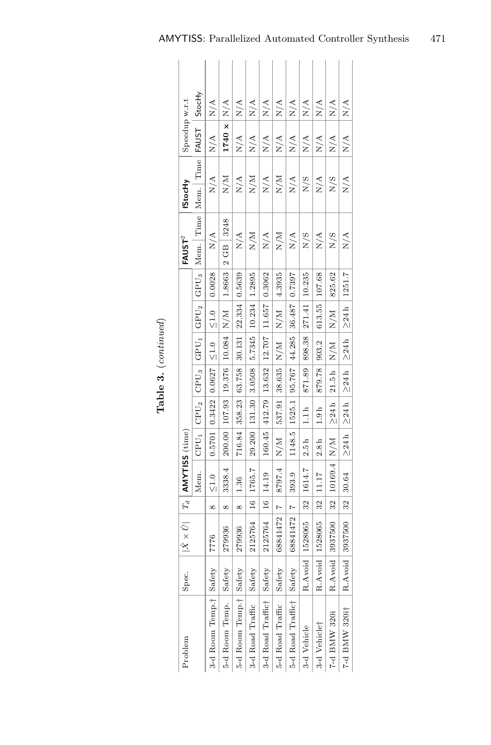| Problem                            | Spec.   | $ \hat{X} \times \hat{U} $   $T_d$ |                | AMYTISS (time) |                |                  |                  |               |                      |                               | FAUST <sup>2</sup> | fStocHy   | Speedup w.r.t |               |
|------------------------------------|---------|------------------------------------|----------------|----------------|----------------|------------------|------------------|---------------|----------------------|-------------------------------|--------------------|-----------|---------------|---------------|
|                                    |         |                                    |                | Mem.           | $\text{CPU}_1$ | $\text{CPU}_2$   | CPU <sub>3</sub> | GPU1          | GPU <sub>2</sub>     | $\mathrm{GP} \, \mathrm{U}_3$ | Mem. Time          | Mem. Time | <b>FAUST</b>  | StocHy        |
| 3-d Room Temp. <sup>†</sup> Safety |         | 7776                               | $^{\infty}$    | $\frac{0}{2}$  | 0.5701         | 0.3422           | 0.0627           | $\frac{1}{2}$ | $\frac{1}{\sqrt{1}}$ | 0.0028                        | N/A                | N/A       | $\frac{A}{N}$ | N/A           |
| 5-d Room Temp.                     | Safety  | 279936                             | œ              | 3338.4         | 200.00         | 107.93           | 19.376           | 10.084        | N/M                  | 1.8663                        | 3248<br>$2$ GB.    | N/M       | 1740 x        | N/A           |
| 5-d Room Temp † Safety             |         | 279936                             | $^{\circ}$     | 36.            | 716.84         | 358.23           | 63.758           | 30.131        | 22.334               | 0.5639                        | N/A                | N/A       | N/A           | N/A           |
| 3-d Road Traffic                   | Safety  | 2125764                            | $16 \,$        | 1765.7         | 29.200         |                  | 131.30 3.0508    | 5.7345        | 10.234               | 1.2895                        | N/M                | N/M       | N/A           | N/A           |
| 3-d Road Traffict   Safety         |         | 2125764                            | $\frac{1}{2}$  | 14.19          | 160.45         | 412.79           | 13.632           | 12.707        | 11.657               | 0.3062                        | N/A                | N/A       | N/A           | N/A           |
| 5-d Road Traffic                   | Safety  | 68841472                           | $\overline{1}$ | 8797.4         | N/M            | 537.91           | 38.635           | N/M           | N/M                  | 4.3935                        | N/M                | N/M       | N/A           | $\frac{A}{N}$ |
| 5-d Road Traffict Safety           |         | 68841472                           | $\ddot{ }$     | 393.9          | 1148.5         | 1525.1           | 95.767           | 44.285        | 36.487               | 0.7397                        | N/A                | N/A       | N/A           | N/A           |
| 3-d Vehicle                        | R.Avoid | 1528065                            | 32             | 1614.7         | 2.5h           | 1.1 h            | 871.89           | 898.38        | 271.41               | 10.235                        | N/S                | N/S       | N/A           | N/A           |
| 3-d Vehiclet                       | R.Avoid | 528065                             | 32             | 11.17          | 2.8h           | 1.9 <sub>h</sub> | 879.78           | 903.2         | 613.55               | 107.68                        | N/A                | N/A       | N/A           | N/A           |
| 7-d BMW 320i                       | R.Avoid | 3937500                            | 32             | 10169.4        | N/M            | $\geq 24h$       | 21.5h            | N/M           | N/M                  | 825.62                        | N/S                | N/S       | N/A           | N/A           |
| 7-d BMW 320i†                      | R.Avoid | 3937500                            | 32             | 30.64          | $\geq 24h$     | $\geq 24h$       | $\geq 24h$       | $\geq 24 h$   | $\geq 24h$           | 1251.7                        | N/A                | N/A       | N/A           | $\frac{A}{N}$ |

Table 3. (continued) **Table 3.** (*continued*)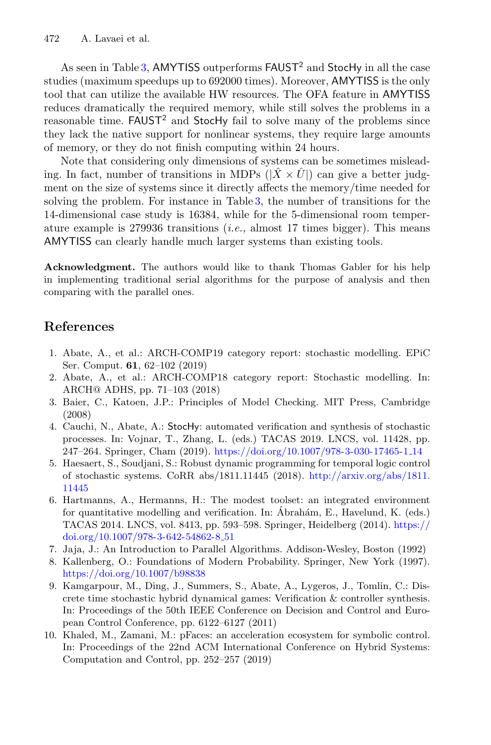As seen in Table [3,](#page-9-0) AMYTISS outperforms  $FAUST^2$  and StocHy in all the case studies (maximum speedups up to 692000 times). Moreover, AMYTISS is the only tool that can utilize the available HW resources. The OFA feature in AMYTISS reduces dramatically the required memory, while still solves the problems in a reasonable time. FAUST<sup>2</sup> and StocHy fail to solve many of the problems since they lack the native support for nonlinear systems, they require large amounts of memory, or they do not finish computing within 24 hours.

Note that considering only dimensions of systems can be sometimes misleading. In fact, number of transitions in MDPs  $(|\hat{X} \times \hat{U}|)$  can give a better judgment on the size of systems since it directly affects the memory/time needed for solving the problem. For instance in Table [3,](#page-9-0) the number of transitions for the 14-dimensional case study is 16384, while for the 5-dimensional room temperature example is 279936 transitions (*i.e.,* almost 17 times bigger). This means AMYTISS can clearly handle much larger systems than existing tools.

**Acknowledgment.** The authors would like to thank Thomas Gabler for his help in implementing traditional serial algorithms for the purpose of analysis and then comparing with the parallel ones.

# **References**

- <span id="page-11-5"></span>1. Abate, A., et al.: ARCH-COMP19 category report: stochastic modelling. EPiC Ser. Comput. **61**, 62–102 (2019)
- <span id="page-11-6"></span>2. Abate, A., et al.: ARCH-COMP18 category report: Stochastic modelling. In: ARCH@ ADHS, pp. 71–103 (2018)
- <span id="page-11-0"></span>3. Baier, C., Katoen, J.P.: Principles of Model Checking. MIT Press, Cambridge (2008)
- <span id="page-11-7"></span>4. Cauchi, N., Abate, A.: StocHy: automated verification and synthesis of stochastic processes. In: Vojnar, T., Zhang, L. (eds.) TACAS 2019. LNCS, vol. 11428, pp. 247–264. Springer, Cham (2019). [https://doi.org/10.1007/978-3-030-17465-1](https://doi.org/10.1007/978-3-030-17465-1_14) 14
- <span id="page-11-1"></span>5. Haesaert, S., Soudjani, S.: Robust dynamic programming for temporal logic control of stochastic systems. CoRR abs/1811.11445 (2018). [http://arxiv.org/abs/1811.](http://arxiv.org/abs/1811.11445) [11445](http://arxiv.org/abs/1811.11445)
- <span id="page-11-4"></span>6. Hartmanns, A., Hermanns, H.: The modest toolset: an integrated environment for quantitative modelling and verification. In:  $\acute{A}$ brahám, E., Havelund, K. (eds.) TACAS 2014. LNCS, vol. 8413, pp. 593–598. Springer, Heidelberg (2014). [https://](https://doi.org/10.1007/978-3-642-54862-8_51) [doi.org/10.1007/978-3-642-54862-8](https://doi.org/10.1007/978-3-642-54862-8_51) 51
- <span id="page-11-2"></span>7. Jaja, J.: An Introduction to Parallel Algorithms. Addison-Wesley, Boston (1992)
- <span id="page-11-9"></span>8. Kallenberg, O.: Foundations of Modern Probability. Springer, New York (1997). <https://doi.org/10.1007/b98838>
- <span id="page-11-8"></span>9. Kamgarpour, M., Ding, J., Summers, S., Abate, A., Lygeros, J., Tomlin, C.: Discrete time stochastic hybrid dynamical games: Verification & controller synthesis. In: Proceedings of the 50th IEEE Conference on Decision and Control and European Control Conference, pp. 6122–6127 (2011)
- <span id="page-11-3"></span>10. Khaled, M., Zamani, M.: pFaces: an acceleration ecosystem for symbolic control. In: Proceedings of the 22nd ACM International Conference on Hybrid Systems: Computation and Control, pp. 252–257 (2019)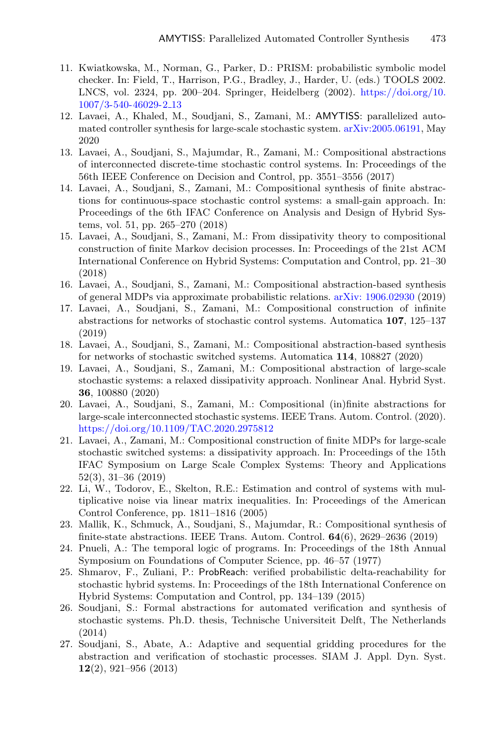- <span id="page-12-8"></span>11. Kwiatkowska, M., Norman, G., Parker, D.: PRISM: probabilistic symbolic model checker. In: Field, T., Harrison, P.G., Bradley, J., Harder, U. (eds.) TOOLS 2002. LNCS, vol. 2324, pp. 200–204. Springer, Heidelberg (2002). [https://doi.org/10.](https://doi.org/10.1007/3-540-46029-2_13) [1007/3-540-46029-2](https://doi.org/10.1007/3-540-46029-2_13) 13
- <span id="page-12-6"></span>12. Lavaei, A., Khaled, M., Soudjani, S., Zamani, M.: AMYTISS: parallelized automated controller synthesis for large-scale stochastic system. [arXiv:2005.06191,](http://arxiv.org/abs/2005.06191) May 2020
- <span id="page-12-1"></span>13. Lavaei, A., Soudjani, S., Majumdar, R., Zamani, M.: Compositional abstractions of interconnected discrete-time stochastic control systems. In: Proceedings of the 56th IEEE Conference on Decision and Control, pp. 3551–3556 (2017)
- 14. Lavaei, A., Soudjani, S., Zamani, M.: Compositional synthesis of finite abstractions for continuous-space stochastic control systems: a small-gain approach. In: Proceedings of the 6th IFAC Conference on Analysis and Design of Hybrid Systems, vol. 51, pp. 265–270 (2018)
- 15. Lavaei, A., Soudjani, S., Zamani, M.: From dissipativity theory to compositional construction of finite Markov decision processes. In: Proceedings of the 21st ACM International Conference on Hybrid Systems: Computation and Control, pp. 21–30 (2018)
- 16. Lavaei, A., Soudjani, S., Zamani, M.: Compositional abstraction-based synthesis of general MDPs via approximate probabilistic relations. [arXiv: 1906.02930](http://arxiv.org/abs/1906.02930) (2019)
- 17. Lavaei, A., Soudjani, S., Zamani, M.: Compositional construction of infinite abstractions for networks of stochastic control systems. Automatica **107**, 125–137 (2019)
- 18. Lavaei, A., Soudjani, S., Zamani, M.: Compositional abstraction-based synthesis for networks of stochastic switched systems. Automatica **114**, 108827 (2020)
- 19. Lavaei, A., Soudjani, S., Zamani, M.: Compositional abstraction of large-scale stochastic systems: a relaxed dissipativity approach. Nonlinear Anal. Hybrid Syst. **36**, 100880 (2020)
- 20. Lavaei, A., Soudjani, S., Zamani, M.: Compositional (in)finite abstractions for large-scale interconnected stochastic systems. IEEE Trans. Autom. Control. (2020). <https://doi.org/10.1109/TAC.2020.2975812>
- <span id="page-12-2"></span>21. Lavaei, A., Zamani, M.: Compositional construction of finite MDPs for large-scale stochastic switched systems: a dissipativity approach. In: Proceedings of the 15th IFAC Symposium on Large Scale Complex Systems: Theory and Applications 52(3), 31–36 (2019)
- <span id="page-12-9"></span>22. Li, W., Todorov, E., Skelton, R.E.: Estimation and control of systems with multiplicative noise via linear matrix inequalities. In: Proceedings of the American Control Conference, pp. 1811–1816 (2005)
- <span id="page-12-3"></span>23. Mallik, K., Schmuck, A., Soudjani, S., Majumdar, R.: Compositional synthesis of finite-state abstractions. IEEE Trans. Autom. Control. **64**(6), 2629–2636 (2019)
- <span id="page-12-0"></span>24. Pnueli, A.: The temporal logic of programs. In: Proceedings of the 18th Annual Symposium on Foundations of Computer Science, pp. 46–57 (1977)
- <span id="page-12-7"></span>25. Shmarov, F., Zuliani, P.: ProbReach: verified probabilistic delta-reachability for stochastic hybrid systems. In: Proceedings of the 18th International Conference on Hybrid Systems: Computation and Control, pp. 134–139 (2015)
- <span id="page-12-4"></span>26. Soudjani, S.: Formal abstractions for automated verification and synthesis of stochastic systems. Ph.D. thesis, Technische Universiteit Delft, The Netherlands (2014)
- <span id="page-12-5"></span>27. Soudjani, S., Abate, A.: Adaptive and sequential gridding procedures for the abstraction and verification of stochastic processes. SIAM J. Appl. Dyn. Syst. **12**(2), 921–956 (2013)